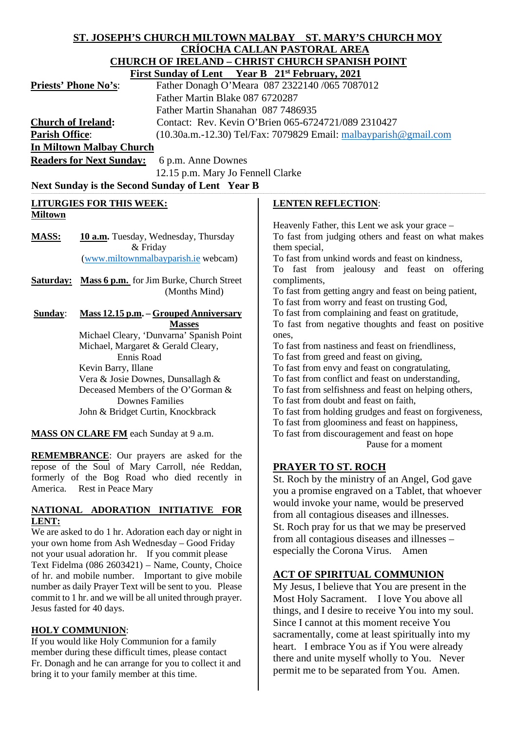| ST. JOSEPH'S CHURCH MILTOWN MALBAY ST. MARY'S CHURCH MOY |                                                                         |                                                                                                            |
|----------------------------------------------------------|-------------------------------------------------------------------------|------------------------------------------------------------------------------------------------------------|
|                                                          |                                                                         | <b>CRÍOCHA CALLAN PASTORAL AREA</b>                                                                        |
|                                                          |                                                                         | <b>CHURCH OF IRELAND - CHRIST CHURCH SPANISH POINT</b>                                                     |
|                                                          | <b>First Sunday of Lent</b> Year B 21 <sup>st</sup> February, 2021      |                                                                                                            |
| <b>Priests' Phone No's:</b>                              |                                                                         | Father Donagh O'Meara 087 2322140 /065 7087012                                                             |
|                                                          | Father Martin Blake 087 6720287                                         |                                                                                                            |
|                                                          | Father Martin Shanahan 087 7486935                                      |                                                                                                            |
| <b>Church of Ireland:</b>                                |                                                                         | Contact: Rev. Kevin O'Brien 065-6724721/089 2310427                                                        |
| <b>Parish Office:</b>                                    |                                                                         | (10.30a.m.-12.30) Tel/Fax: 7079829 Email: malbayparish@gmail.com                                           |
|                                                          | <b>In Miltown Malbay Church</b>                                         |                                                                                                            |
|                                                          | <b>Readers for Next Sunday:</b><br>6 p.m. Anne Downes                   |                                                                                                            |
| 12.15 p.m. Mary Jo Fennell Clarke                        |                                                                         |                                                                                                            |
|                                                          | Next Sunday is the Second Sunday of Lent Year B                         |                                                                                                            |
| <b>LITURGIES FOR THIS WEEK:</b>                          |                                                                         | <b>LENTEN REFLECTION:</b>                                                                                  |
| <b>Miltown</b>                                           |                                                                         |                                                                                                            |
|                                                          |                                                                         | Heavenly Father, this Lent we ask your grace –                                                             |
| <b>MASS:</b>                                             | 10 a.m. Tuesday, Wednesday, Thursday                                    | To fast from judging others and feast on what makes                                                        |
|                                                          | & Friday                                                                | them special,                                                                                              |
|                                                          | (www.miltownmalbayparish.ie webcam)                                     | To fast from unkind words and feast on kindness,                                                           |
|                                                          |                                                                         | To fast from jealousy and feast on offering                                                                |
| Saturday:                                                | Mass 6 p.m. for Jim Burke, Church Street<br>(Months Mind)               | compliments,<br>To fast from getting angry and feast on being patient,                                     |
|                                                          |                                                                         | To fast from worry and feast on trusting God,                                                              |
| Sunday:                                                  | <b>Mass 12.15 p.m. - Grouped Anniversary</b>                            | To fast from complaining and feast on gratitude,                                                           |
|                                                          | <b>Masses</b>                                                           | To fast from negative thoughts and feast on positive                                                       |
|                                                          | Michael Cleary, 'Dunvarna' Spanish Point                                | ones,                                                                                                      |
|                                                          | Michael, Margaret & Gerald Cleary,                                      | To fast from nastiness and feast on friendliness,                                                          |
|                                                          | Ennis Road                                                              | To fast from greed and feast on giving,                                                                    |
|                                                          | Kevin Barry, Illane                                                     | To fast from envy and feast on congratulating,                                                             |
|                                                          | Vera & Josie Downes, Dunsallagh &<br>Deceased Members of the O'Gorman & | To fast from conflict and feast on understanding,<br>To fast from selfishness and feast on helping others, |
|                                                          | <b>Downes Families</b>                                                  | To fast from doubt and feast on faith,                                                                     |
|                                                          | John & Bridget Curtin, Knockbrack                                       | To fast from holding grudges and feast on forgiveness,                                                     |
|                                                          |                                                                         | To fast from gloominess and feast on happiness,                                                            |
| <b>MASS ON CLARE FM</b> each Sunday at 9 a.m.            |                                                                         | To fast from discouragement and feast on hope                                                              |
|                                                          |                                                                         | Pause for a moment                                                                                         |
|                                                          | <b>REMEMBRANCE:</b> Our prayers are asked for the                       |                                                                                                            |
| repose of the Soul of Mary Carroll, née Reddan,          |                                                                         | <b>PRAYER TO ST. ROCH</b>                                                                                  |
| formerly of the Bog Road who died recently in            |                                                                         | St. Roch by the ministry of an Angel, God gave                                                             |
| America.<br>Rest in Peace Mary                           |                                                                         | you a promise engraved on a Tablet, that whoever                                                           |
|                                                          |                                                                         | would invoke your name, would be preserved                                                                 |
| NATIONAL ADORATION INITIATIVE FOR<br>LENT:               |                                                                         | from all contagious diseases and illnesses.                                                                |
| We are asked to do 1 by Adention each day or night in    |                                                                         | St. Roch pray for us that we may be preserved                                                              |

from all contagious diseases and illnesses –

**ACT OF SPIRITUAL COMMUNION** My Jesus, I believe that You are present in the Most Holy Sacrament. I love You above all things, and I desire to receive You into my soul. Since I cannot at this moment receive You sacramentally, come at least spiritually into my heart. I embrace You as if You were already there and unite myself wholly to You. Never permit me to be separated from You. Amen.

especially the Corona Virus. Amen

We are asked to do 1 hr. Adoration each day or night in your own home from Ash Wednesday – Good Friday not your usual adoration hr. If you commit please Text Fidelma (086 2603421) – Name, County, Choice of hr. and mobile number. Important to give mobile number as daily Prayer Text will be sent to you. Please commit to 1 hr. and we will be all united through prayer. Jesus fasted for 40 days.

#### **HOLY COMMUNION**:

If you would like Holy Communion for a family member during these difficult times, please contact Fr. Donagh and he can arrange for you to collect it and bring it to your family member at this time.